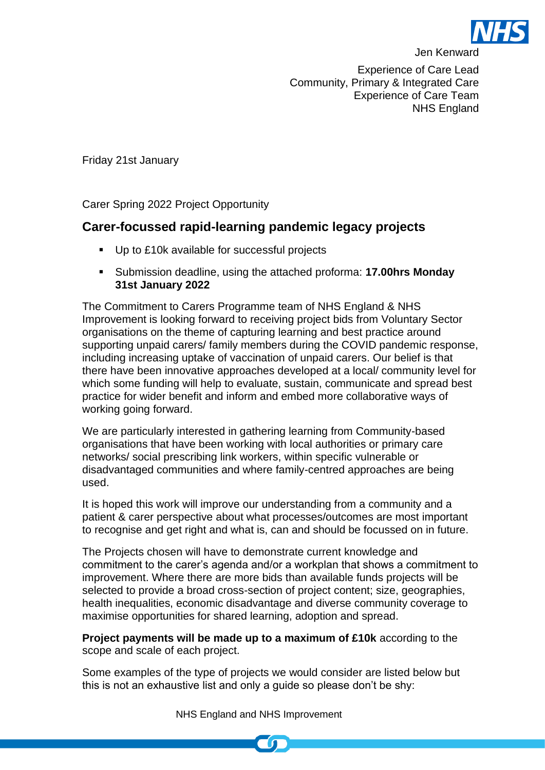

Experience of Care Lead Community, Primary & Integrated Care Experience of Care Team NHS England

Friday 21st January

Carer Spring 2022 Project Opportunity

## **Carer-focussed rapid-learning pandemic legacy projects**

- Up to £10k available for successful projects
- Submission deadline, using the attached proforma: **17.00hrs Monday 31st January 2022**

The Commitment to Carers Programme team of NHS England & NHS Improvement is looking forward to receiving project bids from Voluntary Sector organisations on the theme of capturing learning and best practice around supporting unpaid carers/ family members during the COVID pandemic response, including increasing uptake of vaccination of unpaid carers. Our belief is that there have been innovative approaches developed at a local/ community level for which some funding will help to evaluate, sustain, communicate and spread best practice for wider benefit and inform and embed more collaborative ways of working going forward.

We are particularly interested in gathering learning from Community-based organisations that have been working with local authorities or primary care networks/ social prescribing link workers, within specific vulnerable or disadvantaged communities and where family-centred approaches are being used.

It is hoped this work will improve our understanding from a community and a patient & carer perspective about what processes/outcomes are most important to recognise and get right and what is, can and should be focussed on in future.

The Projects chosen will have to demonstrate current knowledge and commitment to the carer's agenda and/or a workplan that shows a commitment to improvement. Where there are more bids than available funds projects will be selected to provide a broad cross-section of project content; size, geographies, health inequalities, economic disadvantage and diverse community coverage to maximise opportunities for shared learning, adoption and spread.

**Project payments will be made up to a maximum of £10k** according to the scope and scale of each project.

Some examples of the type of projects we would consider are listed below but this is not an exhaustive list and only a guide so please don't be shy:

NHS England and NHS Improvement